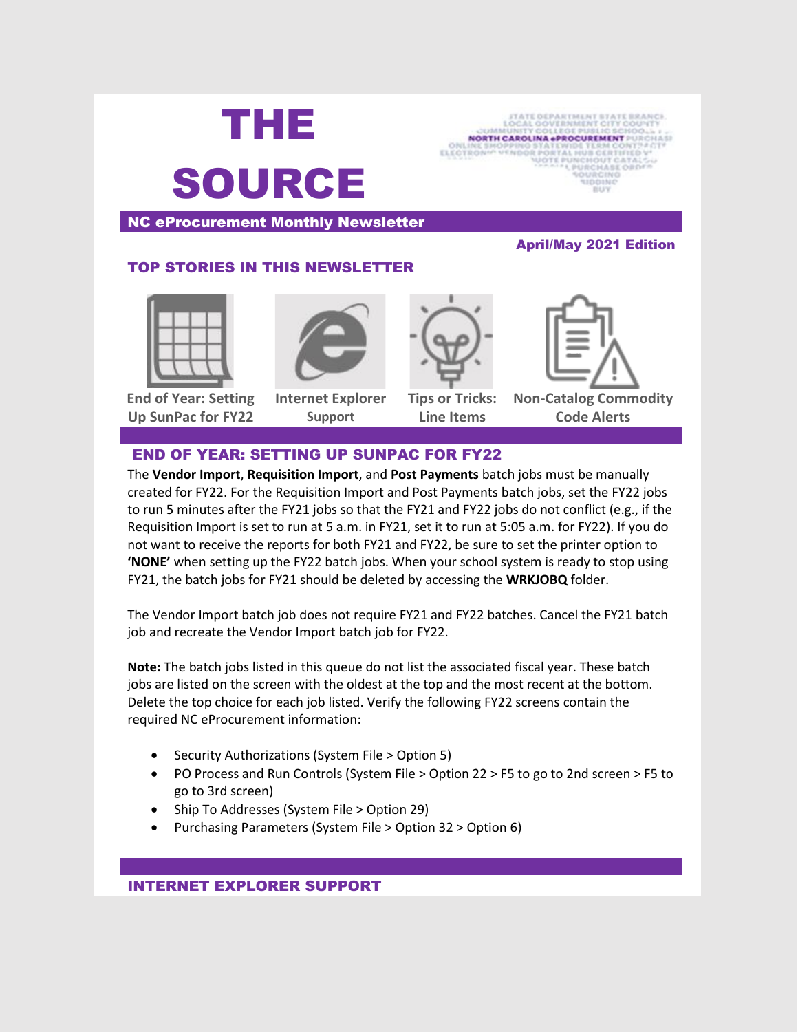

**NORTH CAROLINA «PROCUREMENT** 

NC eProcurement Monthly Newsletter

# TOP STORIES IN THIS NEWSLETTER



**End of Year: Setting Up SunPac for FY22**



**Internet Explorer Support**



**Tips or Tricks: Line Items**



April/May 2021 Edition

**Non-Catalog Commodity Code Alerts**

### END OF YEAR: SETTING UP SUNPAC FOR FY22

The **Vendor Import**, **Requisition Import**, and **Post Payments** batch jobs must be manually created for FY22. For the Requisition Import and Post Payments batch jobs, set the FY22 jobs to run 5 minutes after the FY21 jobs so that the FY21 and FY22 jobs do not conflict (e.g., if the Requisition Import is set to run at 5 a.m. in FY21, set it to run at 5:05 a.m. for FY22). If you do not want to receive the reports for both FY21 and FY22, be sure to set the printer option to **'NONE'** when setting up the FY22 batch jobs. When your school system is ready to stop using FY21, the batch jobs for FY21 should be deleted by accessing the **WRKJOBQ** folder.

The Vendor Import batch job does not require FY21 and FY22 batches. Cancel the FY21 batch job and recreate the Vendor Import batch job for FY22.

**Note:** The batch jobs listed in this queue do not list the associated fiscal year. These batch jobs are listed on the screen with the oldest at the top and the most recent at the bottom. Delete the top choice for each job listed. Verify the following FY22 screens contain the required NC eProcurement information:

- Security Authorizations (System File > Option 5)
- PO Process and Run Controls (System File > Option 22 > F5 to go to 2nd screen > F5 to go to 3rd screen)
- Ship To Addresses (System File > Option 29)
- Purchasing Parameters (System File > Option 32 > Option 6)

### INTERNET EXPLORER SUPPORT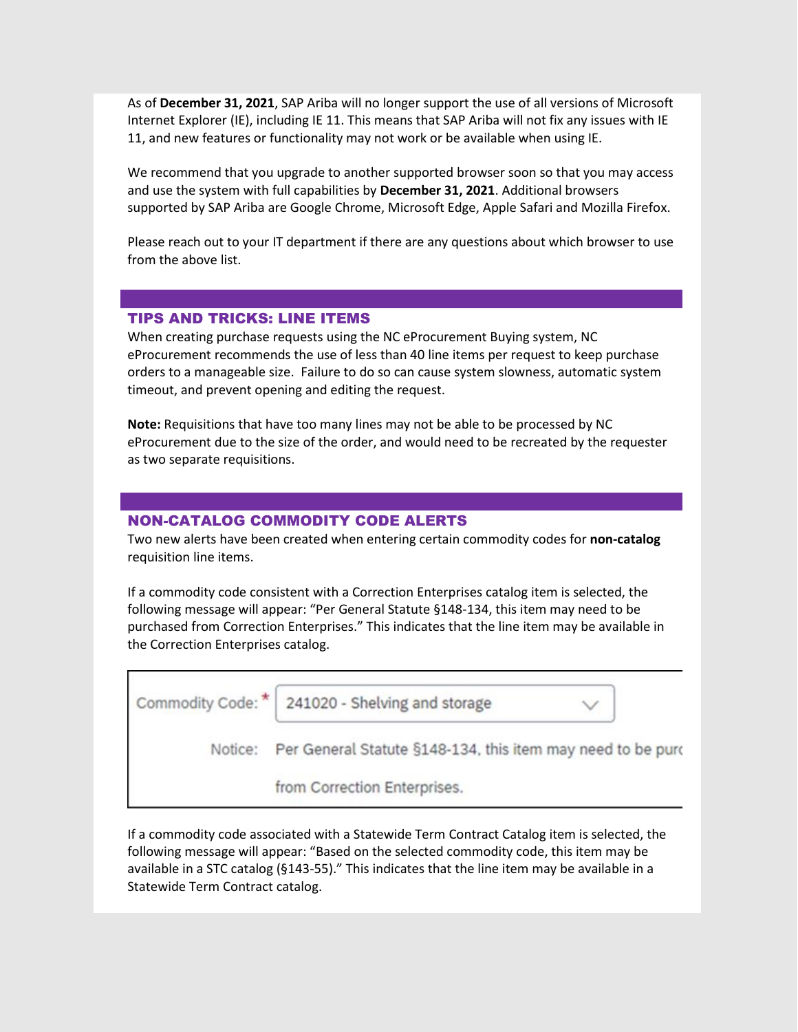As of **December 31, 2021**, SAP Ariba will no longer support the use of all versions of Microsoft Internet Explorer (IE), including IE 11. This means that SAP Ariba will not fix any issues with IE 11, and new features or functionality may not work or be available when using IE.

We recommend that you upgrade to another supported browser soon so that you may access and use the system with full capabilities by **December 31, 2021**. Additional browsers supported by SAP Ariba are Google Chrome, Microsoft Edge, Apple Safari and Mozilla Firefox.

Please reach out to your IT department if there are any questions about which browser to use from the above list.

### TIPS AND TRICKS: LINE ITEMS

When creating purchase requests using the NC eProcurement Buying system, NC eProcurement recommends the use of less than 40 line items per request to keep purchase orders to a manageable size. Failure to do so can cause system slowness, automatic system timeout, and prevent opening and editing the request.

**Note:** Requisitions that have too many lines may not be able to be processed by NC eProcurement due to the size of the order, and would need to be recreated by the requester as two separate requisitions.

### NON-CATALOG COMMODITY CODE ALERTS

Two new alerts have been created when entering certain commodity codes for **non-catalog** requisition line items.

If a commodity code consistent with a Correction Enterprises catalog item is selected, the following message will appear: "Per General Statute §148-134, this item may need to be purchased from Correction Enterprises." This indicates that the line item may be available in the Correction Enterprises catalog.

| Commodity Code: | 241020 - Shelving and storage                                       |  |
|-----------------|---------------------------------------------------------------------|--|
|                 | Notice: Per General Statute §148-134, this item may need to be purc |  |
|                 | from Correction Enterprises.                                        |  |

If a commodity code associated with a Statewide Term Contract Catalog item is selected, the following message will appear: "Based on the selected commodity code, this item may be available in a STC catalog (§143-55)." This indicates that the line item may be available in a Statewide Term Contract catalog.